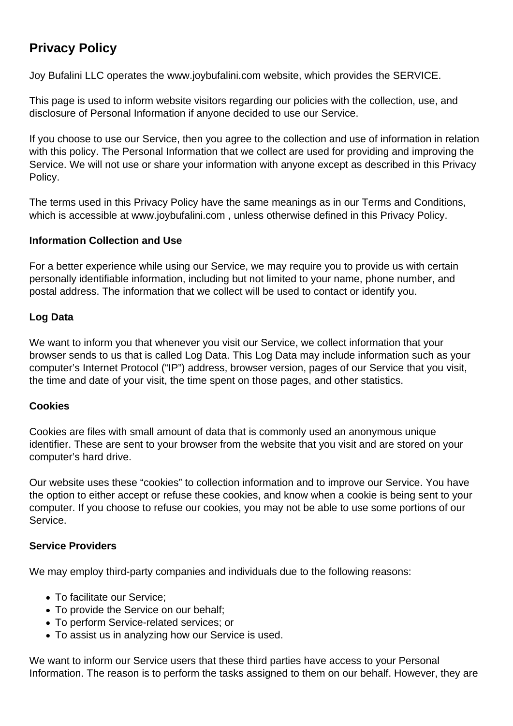# **Privacy Policy**

Joy Bufalini LLC operates the www.joybufalini.com website, which provides the SERVICE.

This page is used to inform website visitors regarding our policies with the collection, use, and disclosure of Personal Information if anyone decided to use our Service.

If you choose to use our Service, then you agree to the collection and use of information in relation with this policy. The Personal Information that we collect are used for providing and improving the Service. We will not use or share your information with anyone except as described in this Privacy Policy.

The terms used in this Privacy Policy have the same meanings as in our Terms and Conditions, which is accessible at www.joybufalini.com , unless otherwise defined in this Privacy Policy.

# **Information Collection and Use**

For a better experience while using our Service, we may require you to provide us with certain personally identifiable information, including but not limited to your name, phone number, and postal address. The information that we collect will be used to contact or identify you.

# **Log Data**

We want to inform you that whenever you visit our Service, we collect information that your browser sends to us that is called Log Data. This Log Data may include information such as your computer's Internet Protocol ("IP") address, browser version, pages of our Service that you visit, the time and date of your visit, the time spent on those pages, and other statistics.

### **Cookies**

Cookies are files with small amount of data that is commonly used an anonymous unique identifier. These are sent to your browser from the website that you visit and are stored on your computer's hard drive.

Our website uses these "cookies" to collection information and to improve our Service. You have the option to either accept or refuse these cookies, and know when a cookie is being sent to your computer. If you choose to refuse our cookies, you may not be able to use some portions of our Service.

### **Service Providers**

We may employ third-party companies and individuals due to the following reasons:

- To facilitate our Service;
- To provide the Service on our behalf:
- To perform Service-related services; or
- To assist us in analyzing how our Service is used.

We want to inform our Service users that these third parties have access to your Personal Information. The reason is to perform the tasks assigned to them on our behalf. However, they are